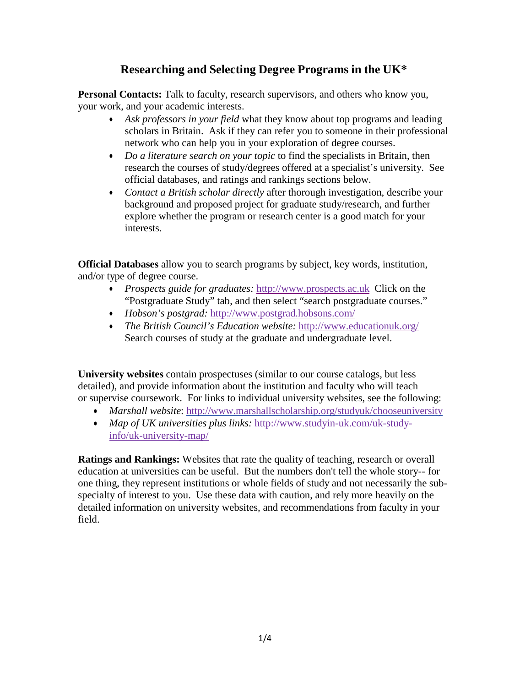## **Researching and Selecting Degree Programs in the UK\***

Personal Contacts: Talk to faculty, research supervisors, and others who know you, your work, and your academic interests.

- *Ask professors in your field* what they know about top programs and leading scholars in Britain. Ask if they can refer you to someone in their professional network who can help you in your exploration of degree courses.
- *Do a literature search on your topic* to find the specialists in Britain, then research the courses of study/degrees offered at a specialist's university. See official databases, and ratings and rankings sections below.
- *Contact a British scholar directly* after thorough investigation, describe your background and proposed project for graduate study/research, and further explore whether the program or research center is a good match for your interests.

**Official Databases** allow you to search programs by subject, key words, institution, and/or type of degree course.

- *Prospects guide for graduates:* [http://www.prospects.ac.uk](http://www.prospects.ac.uk/) Click on the "Postgraduate Study" tab, and then select "search postgraduate courses."
- *Hobson's postgrad:* <http://www.postgrad.hobsons.com/>
- *The British Council's Education website:* <http://www.educationuk.org/> Search courses of study at the graduate and undergraduate level.

**University websites** contain prospectuses (similar to our course catalogs, but less detailed), and provide information about the institution and faculty who will teach or supervise coursework. For links to individual university websites, see the following:

- *Marshall website*: <http://www.marshallscholarship.org/studyuk/chooseuniversity>
- *Map of UK universities plus links:* [http://www.studyin-uk.com/uk-study](http://www.studyin-uk.com/uk-study-info/uk-university-map/)[info/uk-university-map/](http://www.studyin-uk.com/uk-study-info/uk-university-map/)

**Ratings and Rankings:** Websites that rate the quality of teaching, research or overall education at universities can be useful. But the numbers don't tell the whole story-- for one thing, they represent institutions or whole fields of study and not necessarily the subspecialty of interest to you. Use these data with caution, and rely more heavily on the detailed information on university websites, and recommendations from faculty in your field.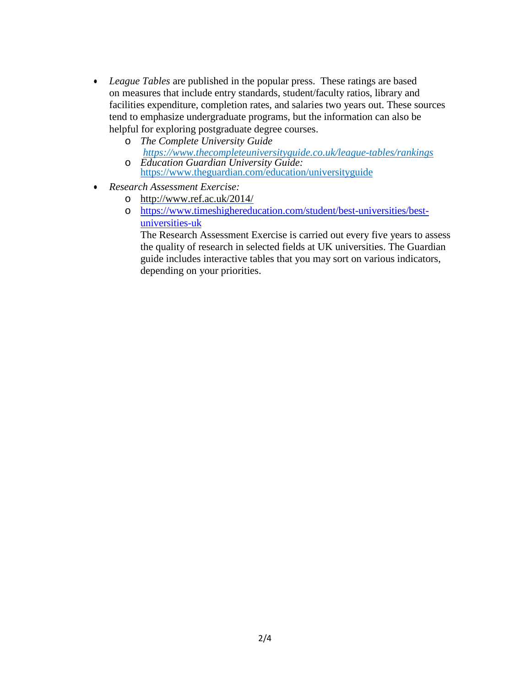- *League Tables* are published in the popular press. These ratings are based on measures that include entry standards, student/faculty ratios, library and facilities expenditure, completion rates, and salaries two years out. These sources tend to emphasize undergraduate programs, but the information can also be helpful for exploring postgraduate degree courses.
	- o *The Complete University Guide <https://www.thecompleteuniversityguide.co.uk/league-tables/rankings>*
	- o *Education Guardian University Guide:* <https://www.theguardian.com/education/universityguide>
- *Research Assessment Exercise:*
	- o <http://www.ref.ac.uk/2014/>
	- o [https://www.timeshighereducation.com/student/best-universities/best](https://www.timeshighereducation.com/student/best-universities/best-universities-uk)[universities-uk](https://www.timeshighereducation.com/student/best-universities/best-universities-uk)

The Research Assessment Exercise is carried out every five years to assess the quality of research in selected fields at UK universities. The Guardian guide includes interactive tables that you may sort on various indicators, depending on your priorities.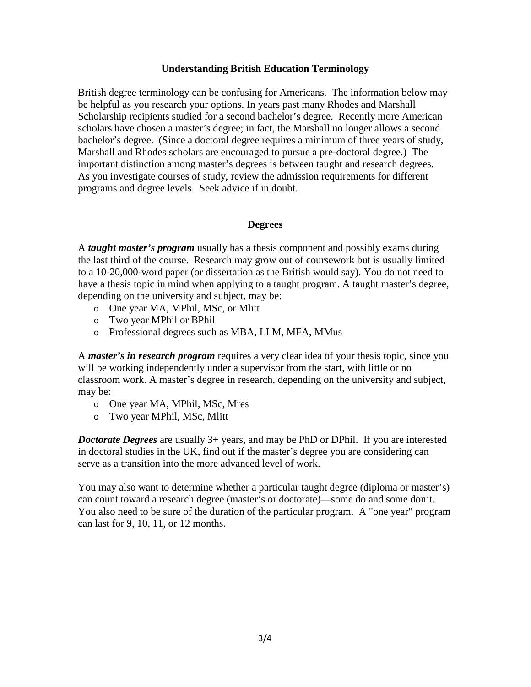## **Understanding British Education Terminology**

British degree terminology can be confusing for Americans. The information below may be helpful as you research your options. In years past many Rhodes and Marshall Scholarship recipients studied for a second bachelor's degree. Recently more American scholars have chosen a master's degree; in fact, the Marshall no longer allows a second bachelor's degree. (Since a doctoral degree requires a minimum of three years of study, Marshall and Rhodes scholars are encouraged to pursue a pre-doctoral degree.) The important distinction among master's degrees is between taught and research degrees. As you investigate courses of study, review the admission requirements for different programs and degree levels. Seek advice if in doubt.

## **Degrees**

A *taught master's program* usually has a thesis component and possibly exams during the last third of the course. Research may grow out of coursework but is usually limited to a 10-20,000-word paper (or dissertation as the British would say). You do not need to have a thesis topic in mind when applying to a taught program. A taught master's degree, depending on the university and subject, may be:

- o One year MA, MPhil, MSc, or Mlitt
- o Two year MPhil or BPhil
- o Professional degrees such as MBA, LLM, MFA, MMus

A *master's in research program* requires a very clear idea of your thesis topic, since you will be working independently under a supervisor from the start, with little or no classroom work. A master's degree in research, depending on the university and subject, may be:

- o One year MA, MPhil, MSc, Mres
- o Two year MPhil, MSc, Mlitt

*Doctorate Degrees* are usually 3+ years, and may be PhD or DPhil. If you are interested in doctoral studies in the UK, find out if the master's degree you are considering can serve as a transition into the more advanced level of work.

You may also want to determine whether a particular taught degree (diploma or master's) can count toward a research degree (master's or doctorate)—some do and some don't. You also need to be sure of the duration of the particular program. A "one year" program can last for 9, 10, 11, or 12 months.